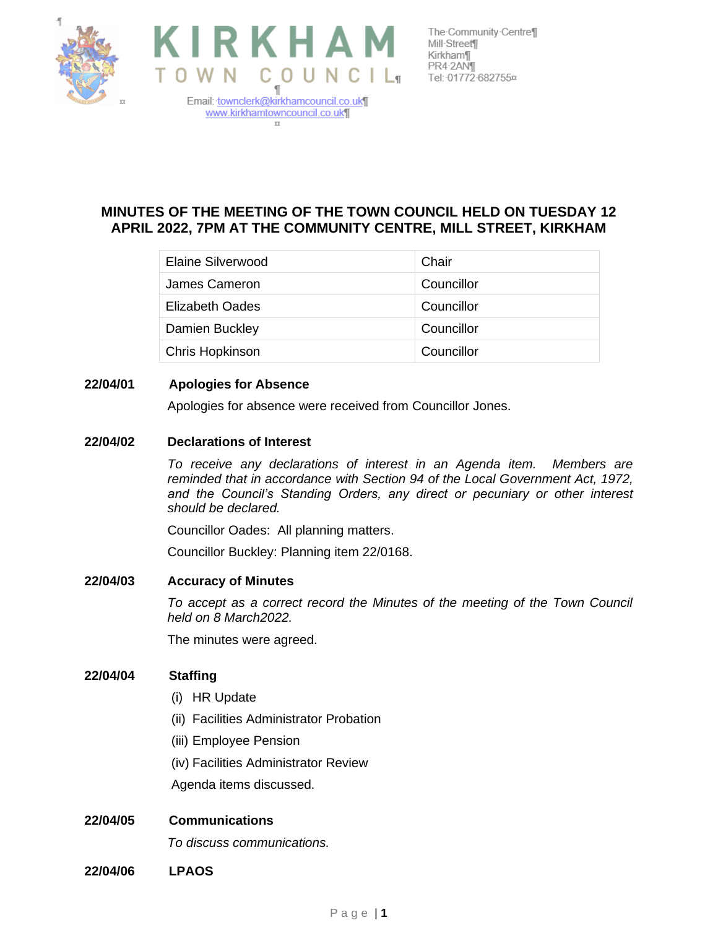



The Community Centre¶ Kirkham¶ PR4-2ANT Tel: 01772 682755¤

# **MINUTES OF THE MEETING OF THE TOWN COUNCIL HELD ON TUESDAY 12 APRIL 2022, 7PM AT THE COMMUNITY CENTRE, MILL STREET, KIRKHAM**

| Elaine Silverwood      | Chair      |
|------------------------|------------|
| James Cameron          | Councillor |
| <b>Elizabeth Oades</b> | Councillor |
| Damien Buckley         | Councillor |
| Chris Hopkinson        | Councillor |

## **22/04/01 Apologies for Absence**

Apologies for absence were received from Councillor Jones.

### **22/04/02 Declarations of Interest**

*To receive any declarations of interest in an Agenda item. Members are reminded that in accordance with Section 94 of the Local Government Act, 1972,*  and the Council's Standing Orders, any direct or pecuniary or other interest *should be declared.*

Councillor Oades: All planning matters.

Councillor Buckley: Planning item 22/0168.

#### **22/04/03 Accuracy of Minutes**

*To accept as a correct record the Minutes of the meeting of the Town Council held on 8 March2022.*

The minutes were agreed.

### **22/04/04 Staffing**

- (i) HR Update
- (ii) Facilities Administrator Probation
- (iii) Employee Pension
- (iv) Facilities Administrator Review

Agenda items discussed.

### **22/04/05 Communications**

*To discuss communications.*

**22/04/06 LPAOS**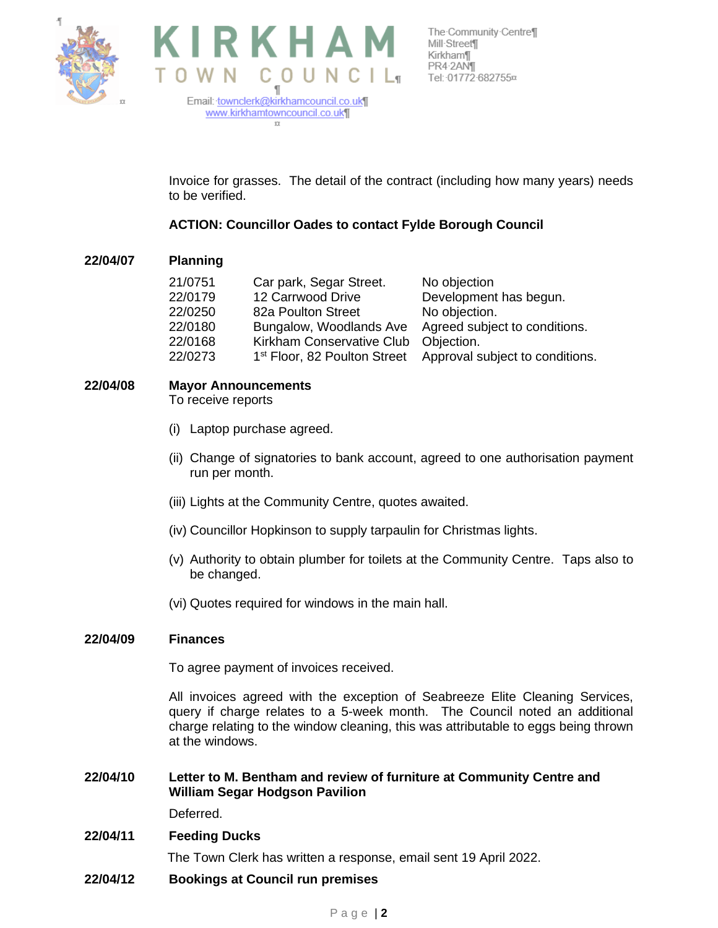



 $\Omega$ 

The Community Centre¶ PR4-2AN¶ Tel: 01772 682755¤

Invoice for grasses. The detail of the contract (including how many years) needs to be verified.

## **ACTION: Councillor Oades to contact Fylde Borough Council**

### **22/04/07 Planning**

| 21/0751 | Car park, Segar Street.   | No objection                                                             |
|---------|---------------------------|--------------------------------------------------------------------------|
| 22/0179 | 12 Carrwood Drive         | Development has begun.                                                   |
| 22/0250 | 82a Poulton Street        | No objection.                                                            |
| 22/0180 | Bungalow, Woodlands Ave   | Agreed subject to conditions.                                            |
| 22/0168 | Kirkham Conservative Club | Objection.                                                               |
| 22/0273 |                           | 1 <sup>st</sup> Floor, 82 Poulton Street Approval subject to conditions. |

## **22/04/08 Mayor Announcements**

To receive reports

- (i) Laptop purchase agreed.
- (ii) Change of signatories to bank account, agreed to one authorisation payment run per month.
- (iii) Lights at the Community Centre, quotes awaited.
- (iv) Councillor Hopkinson to supply tarpaulin for Christmas lights.
- (v) Authority to obtain plumber for toilets at the Community Centre. Taps also to be changed.
- (vi) Quotes required for windows in the main hall.

#### **22/04/09 Finances**

To agree payment of invoices received.

All invoices agreed with the exception of Seabreeze Elite Cleaning Services, query if charge relates to a 5-week month. The Council noted an additional charge relating to the window cleaning, this was attributable to eggs being thrown at the windows.

**22/04/10 Letter to M. Bentham and review of furniture at Community Centre and William Segar Hodgson Pavilion**

Deferred.

#### **22/04/11 Feeding Ducks**

The Town Clerk has written a response, email sent 19 April 2022.

**22/04/12 Bookings at Council run premises**